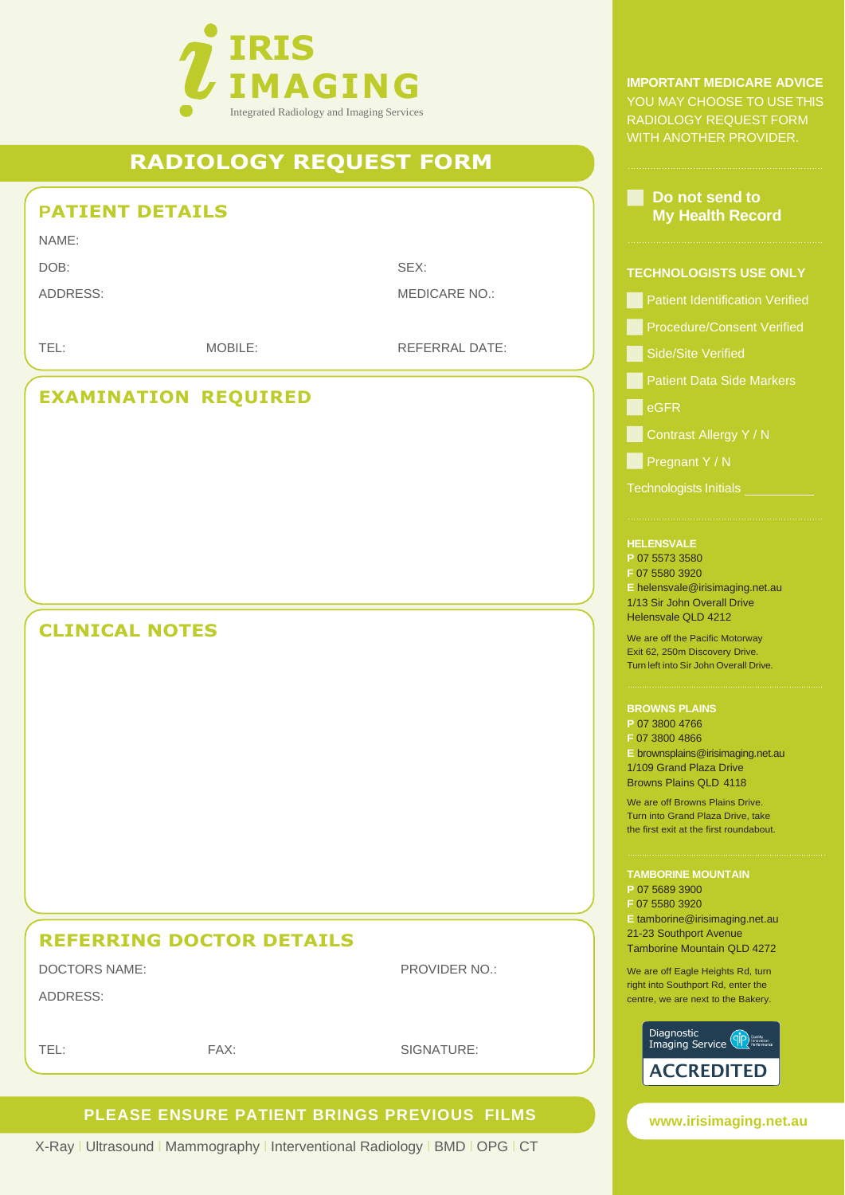

# **RADIOLOGY REQUEST FORM**

## **PATIENT DETAILS**

NAME:

DOB: SEX:

ADDRESS: MEDICARE NO.:

TEL: MOBILE: MOBILE: REFERRAL DATE:

## **EXAMINATION REQUIRED**

## **CLINICAL NOTES**

# **REFERRING DOCTOR DETAILS**

DOCTORS NAME: PROVIDER NO.:

TEL: FAX: SIGNATURE:

## **PLEASE ENSURE PATIENT BRINGS PREVIOUS FILMS**

X-Ray l Ultrasound l Mammography l Interventional Radiology l BMD l OPG l CT

**IMPORTANT MEDICARE ADVICE**  YOU MAY CHOOSE TO USE THIS RADIOLOGY REQUEST FORM WITH ANOTHER PROVIDER.

### **Do not send to My Health Record**

#### **TECHNOLOGISTS USE ONLY**

- **Patient Identification Verified**
- **Procedure/Consent Verified**
- Side/Site Verified
- **Patient Data Side Markers**

**E**eGFR

- **Contrast Allergy Y / N**
- **Pregnant Y/N**

Technologists Initials

### **HELENSVALE**

**P** 07 5573 3580

**F** 07 5580 3920

**E** [helensvale@irisimaging.net.au](mailto:helensvale@irisimaging.net.au) 1/13 Sir John Overall Drive

Helensvale QLD 4212

We are off the Pacific Motorway Exit 62, 250m Discovery Drive. Turn left into Sir John Overall Drive.

#### **BROWNS PLAINS**

**P** 07 3800 4766 **F** 07 3800 4866 **E** [brownsplains@irisimaging.net.au](mailto:brownsplains@irisimaging.net.au) 1/109 Grand Plaza Drive Browns Plains QLD 4118

We are off Browns Plains Drive. Turn into Grand Plaza Drive, take the first exit at the first roundabout.

**TAMBORINE MOUNTAIN P** 07 5689 3900 **F** 07 5580 3920 **E** [tamborine@irisimaging.net.au](mailto:tamborine@irisimaging.net.au) 21-23 Southport Avenue Tamborine Mountain QLD 4272

We are off Eagle Heights Rd, turn right into Southport Rd, enter the centre, we are next to the Bakery.



**[www.irisimaging.net.au](http://www.irisimaging.net.au/)**